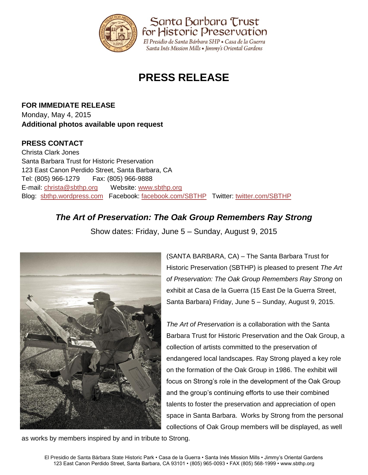

# **PRESS RELEASE**

**FOR IMMEDIATE RELEASE** Monday, May 4, 2015 **Additional photos available upon request**

### **PRESS CONTACT**

Christa Clark Jones Santa Barbara Trust for Historic Preservation 123 East Canon Perdido Street, Santa Barbara, CA Tel: (805) 966-1279 Fax: (805) 966-9888 E-mail: [christa@sbthp.org](mailto:christa@sbthp.org) Website: [www.sbthp.org](http://www.sbthp.org/) Blog: [sbthp.wordpress.com](http://sbthp.wordpress.com/) Facebook: [facebook.com/SBTHP](http://www.facebook.com/SBTHP) Twitter: [twitter.com/SBTHP](http://twitter.com/SBTHP)

## *The Art of Preservation: The Oak Group Remembers Ray Strong*

Show dates: Friday, June 5 – Sunday, August 9, 2015



as works by members inspired by and in tribute to Strong.

(SANTA BARBARA, CA) – The Santa Barbara Trust for Historic Preservation (SBTHP) is pleased to present *The Art of Preservation: The Oak Group Remembers Ray Strong* on exhibit at Casa de la Guerra (15 East De la Guerra Street, Santa Barbara) Friday, June 5 – Sunday, August 9, 2015.

*The Art of Preservation* is a collaboration with the Santa Barbara Trust for Historic Preservation and the Oak Group, a collection of artists committed to the preservation of endangered local landscapes. Ray Strong played a key role on the formation of the Oak Group in 1986. The exhibit will focus on Strong's role in the development of the Oak Group and the group's continuing efforts to use their combined talents to foster the preservation and appreciation of open space in Santa Barbara. Works by Strong from the personal collections of Oak Group members will be displayed, as well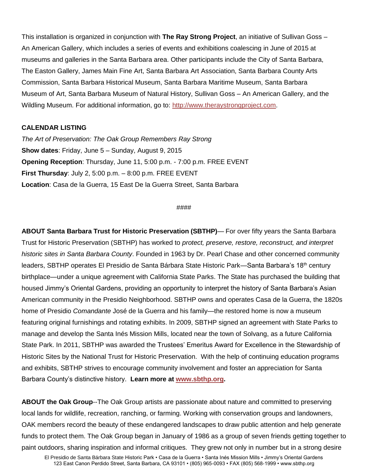This installation is organized in conjunction with **The Ray Strong Project**, an initiative of Sullivan Goss – An American Gallery, which includes a series of events and exhibitions coalescing in June of 2015 at museums and galleries in the Santa Barbara area. Other participants include the City of Santa Barbara, The Easton Gallery, James Main Fine Art, Santa Barbara Art Association, Santa Barbara County Arts Commission, Santa Barbara Historical Museum, Santa Barbara Maritime Museum, Santa Barbara Museum of Art, Santa Barbara Museum of Natural History, Sullivan Goss – An American Gallery, and the Wildling Museum. For additional information, go to: [http://www.theraystrongproject.com.](http://www.theraystrongproject.com/)

### **CALENDAR LISTING**

*The Art of Preservation: The Oak Group Remembers Ray Strong* **Show dates**: Friday, June 5 – Sunday, August 9, 2015 **Opening Reception**: Thursday, June 11, 5:00 p.m. - 7:00 p.m. FREE EVENT **First Thursday**: July 2, 5:00 p.m. – 8:00 p.m. FREE EVENT **Location**: Casa de la Guerra, 15 East De la Guerra Street, Santa Barbara

#### ####

**ABOUT Santa Barbara Trust for Historic Preservation (SBTHP)**— For over fifty years the Santa Barbara Trust for Historic Preservation (SBTHP) has worked to *protect, preserve, restore, reconstruct, and interpret historic sites in Santa Barbara County*. Founded in 1963 by Dr. Pearl Chase and other concerned community leaders, SBTHP operates El Presidio de Santa Bárbara State Historic Park—Santa Barbara's 18<sup>th</sup> century birthplace—under a unique agreement with California State Parks. The State has purchased the building that housed Jimmy's Oriental Gardens, providing an opportunity to interpret the history of Santa Barbara's Asian American community in the Presidio Neighborhood. SBTHP owns and operates Casa de la Guerra, the 1820s home of Presidio *Comandante* José de la Guerra and his family—the restored home is now a museum featuring original furnishings and rotating exhibits. In 2009, SBTHP signed an agreement with State Parks to manage and develop the Santa Inés Mission Mills, located near the town of Solvang, as a future California State Park. In 2011, SBTHP was awarded the Trustees' Emeritus Award for Excellence in the Stewardship of Historic Sites by the National Trust for Historic Preservation.With the help of continuing education programs and exhibits, SBTHP strives to encourage community involvement and foster an appreciation for Santa Barbara County's distinctive history. **Learn more at [www.sbthp.org.](http://www.sbthp.org/)**

**ABOUT the Oak Group**--The Oak Group artists are passionate about nature and committed to preserving local lands for wildlife, recreation, ranching, or farming. Working with conservation groups and landowners, OAK members record the beauty of these endangered landscapes to draw public attention and help generate funds to protect them. The Oak Group began in January of 1986 as a group of seven friends getting together to paint outdoors, sharing inspiration and informal critiques. They grew not only in number but in a strong desire